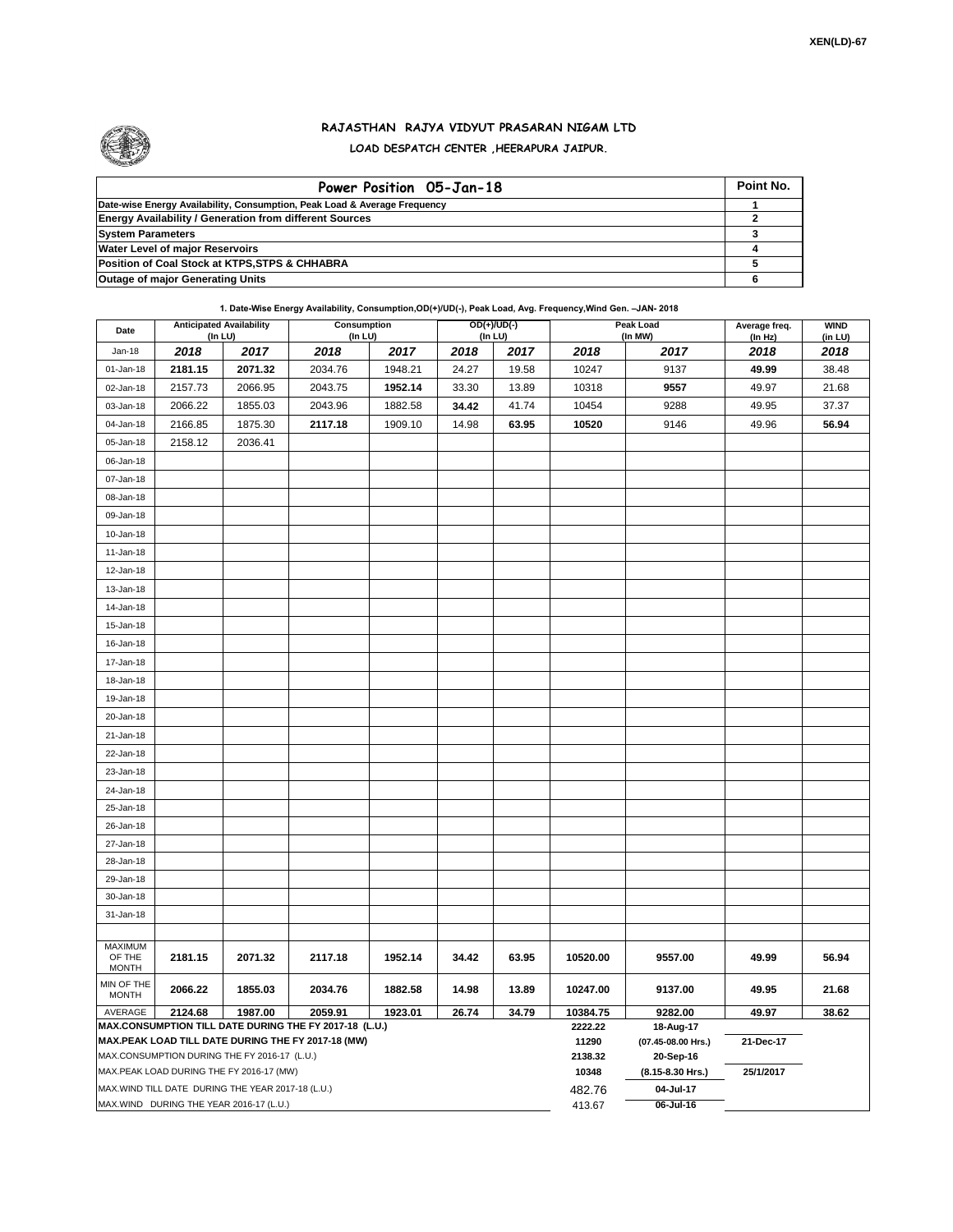

## **RAJASTHAN RAJYA VIDYUT PRASARAN NIGAM LTD LOAD DESPATCH CENTER ,HEERAPURA JAIPUR.**

| Power Position 05-Jan-18                                                  | Point No. |
|---------------------------------------------------------------------------|-----------|
| Date-wise Energy Availability, Consumption, Peak Load & Average Frequency |           |
| <b>Energy Availability / Generation from different Sources</b>            |           |
| <b>System Parameters</b>                                                  |           |
| <b>Water Level of major Reservoirs</b>                                    |           |
| Position of Coal Stock at KTPS, STPS & CHHABRA                            |           |
| <b>Outage of major Generating Units</b>                                   |           |

## **1. Date-Wise Energy Availability, Consumption,OD(+)/UD(-), Peak Load, Avg. Frequency,Wind Gen. –JAN- 2018**

| Date                                                                                                         | <b>Anticipated Availability</b><br>$($ In LU $)$ |         | <b>Consumption</b><br>(In LU) |         | $OD(+)/UD(-)$<br>(In LU) |                  |                                 | <b>Peak Load</b><br>(In MW) | Average freq.<br>(In Hz) | <b>WIND</b><br>(in LU) |
|--------------------------------------------------------------------------------------------------------------|--------------------------------------------------|---------|-------------------------------|---------|--------------------------|------------------|---------------------------------|-----------------------------|--------------------------|------------------------|
| Jan-18                                                                                                       | 2018                                             | 2017    | 2018                          | 2017    | 2018                     | 2017             | 2018                            | 2017                        | 2018                     | 2018                   |
| 01-Jan-18                                                                                                    | 2181.15                                          | 2071.32 | 2034.76                       | 1948.21 | 24.27                    | 19.58            | 10247                           | 9137                        | 49.99                    | 38.48                  |
| 02-Jan-18                                                                                                    | 2157.73                                          | 2066.95 | 2043.75                       | 1952.14 | 33.30                    | 13.89            | 10318                           | 9557                        | 49.97                    | 21.68                  |
| 03-Jan-18                                                                                                    | 2066.22                                          | 1855.03 | 2043.96                       | 1882.58 | 34.42                    | 41.74            | 10454                           | 9288                        | 49.95                    | 37.37                  |
| 04-Jan-18                                                                                                    | 2166.85                                          | 1875.30 | 2117.18                       | 1909.10 | 14.98                    | 63.95            | 10520                           | 9146                        | 49.96                    | 56.94                  |
| 05-Jan-18                                                                                                    | 2158.12                                          | 2036.41 |                               |         |                          |                  |                                 |                             |                          |                        |
| 06-Jan-18                                                                                                    |                                                  |         |                               |         |                          |                  |                                 |                             |                          |                        |
| 07-Jan-18                                                                                                    |                                                  |         |                               |         |                          |                  |                                 |                             |                          |                        |
| 08-Jan-18                                                                                                    |                                                  |         |                               |         |                          |                  |                                 |                             |                          |                        |
| 09-Jan-18                                                                                                    |                                                  |         |                               |         |                          |                  |                                 |                             |                          |                        |
| 10-Jan-18                                                                                                    |                                                  |         |                               |         |                          |                  |                                 |                             |                          |                        |
| 11-Jan-18                                                                                                    |                                                  |         |                               |         |                          |                  |                                 |                             |                          |                        |
| 12-Jan-18                                                                                                    |                                                  |         |                               |         |                          |                  |                                 |                             |                          |                        |
| 13-Jan-18                                                                                                    |                                                  |         |                               |         |                          |                  |                                 |                             |                          |                        |
| 14-Jan-18                                                                                                    |                                                  |         |                               |         |                          |                  |                                 |                             |                          |                        |
| 15-Jan-18                                                                                                    |                                                  |         |                               |         |                          |                  |                                 |                             |                          |                        |
| 16-Jan-18                                                                                                    |                                                  |         |                               |         |                          |                  |                                 |                             |                          |                        |
| 17-Jan-18                                                                                                    |                                                  |         |                               |         |                          |                  |                                 |                             |                          |                        |
| 18-Jan-18                                                                                                    |                                                  |         |                               |         |                          |                  |                                 |                             |                          |                        |
| 19-Jan-18                                                                                                    |                                                  |         |                               |         |                          |                  |                                 |                             |                          |                        |
| 20-Jan-18                                                                                                    |                                                  |         |                               |         |                          |                  |                                 |                             |                          |                        |
| 21-Jan-18                                                                                                    |                                                  |         |                               |         |                          |                  |                                 |                             |                          |                        |
| 22-Jan-18                                                                                                    |                                                  |         |                               |         |                          |                  |                                 |                             |                          |                        |
| 23-Jan-18                                                                                                    |                                                  |         |                               |         |                          |                  |                                 |                             |                          |                        |
| 24-Jan-18                                                                                                    |                                                  |         |                               |         |                          |                  |                                 |                             |                          |                        |
| 25-Jan-18                                                                                                    |                                                  |         |                               |         |                          |                  |                                 |                             |                          |                        |
| 26-Jan-18                                                                                                    |                                                  |         |                               |         |                          |                  |                                 |                             |                          |                        |
| 27-Jan-18                                                                                                    |                                                  |         |                               |         |                          |                  |                                 |                             |                          |                        |
| 28-Jan-18                                                                                                    |                                                  |         |                               |         |                          |                  |                                 |                             |                          |                        |
| 29-Jan-18                                                                                                    |                                                  |         |                               |         |                          |                  |                                 |                             |                          |                        |
| 30-Jan-18                                                                                                    |                                                  |         |                               |         |                          |                  |                                 |                             |                          |                        |
| 31-Jan-18                                                                                                    |                                                  |         |                               |         |                          |                  |                                 |                             |                          |                        |
|                                                                                                              |                                                  |         |                               |         |                          |                  |                                 |                             |                          |                        |
| <b>MAXIMUM</b><br>OF THE                                                                                     | 2181.15                                          | 2071.32 | 2117.18                       | 1952.14 | 34.42                    | 63.95            | 10520.00                        | 9557.00                     | 49.99                    | 56.94                  |
| <b>MONTH</b>                                                                                                 |                                                  |         |                               |         |                          |                  |                                 |                             |                          |                        |
| MIN OF THE<br><b>MONTH</b>                                                                                   | 2066.22                                          | 1855.03 | 2034.76                       | 1882.58 | 14.98                    | 13.89            | 10247.00                        | 9137.00                     | 49.95                    | 21.68                  |
| AVERAGE                                                                                                      | 2124.68                                          | 1987.00 | 2059.91                       | 1923.01 | 26.74                    | 34.79            | 10384.75                        | 9282.00                     | 49.97                    | 38.62                  |
| MAX.CONSUMPTION TILL DATE DURING THE FY 2017-18 (L.U.)<br>MAX.PEAK LOAD TILL DATE DURING THE FY 2017-18 (MW) |                                                  |         |                               |         |                          | 2222.22<br>11290 | 18-Aug-17<br>(07.45-08.00 Hrs.) | 21-Dec-17                   |                          |                        |
| MAX.CONSUMPTION DURING THE FY 2016-17 (L.U.)                                                                 |                                                  |         |                               |         | 2138.32                  | 20-Sep-16        |                                 |                             |                          |                        |
| MAX.PEAK LOAD DURING THE FY 2016-17 (MW)                                                                     |                                                  |         |                               |         |                          | 10348            | (8.15-8.30 Hrs.)                | 25/1/2017                   |                          |                        |
| MAX.WIND TILL DATE DURING THE YEAR 2017-18 (L.U.)                                                            |                                                  |         |                               |         | 482.76                   | 04-Jul-17        |                                 |                             |                          |                        |
| MAX.WIND DURING THE YEAR 2016-17 (L.U.)                                                                      |                                                  |         |                               |         |                          | 413.67           | 06-Jul-16                       |                             |                          |                        |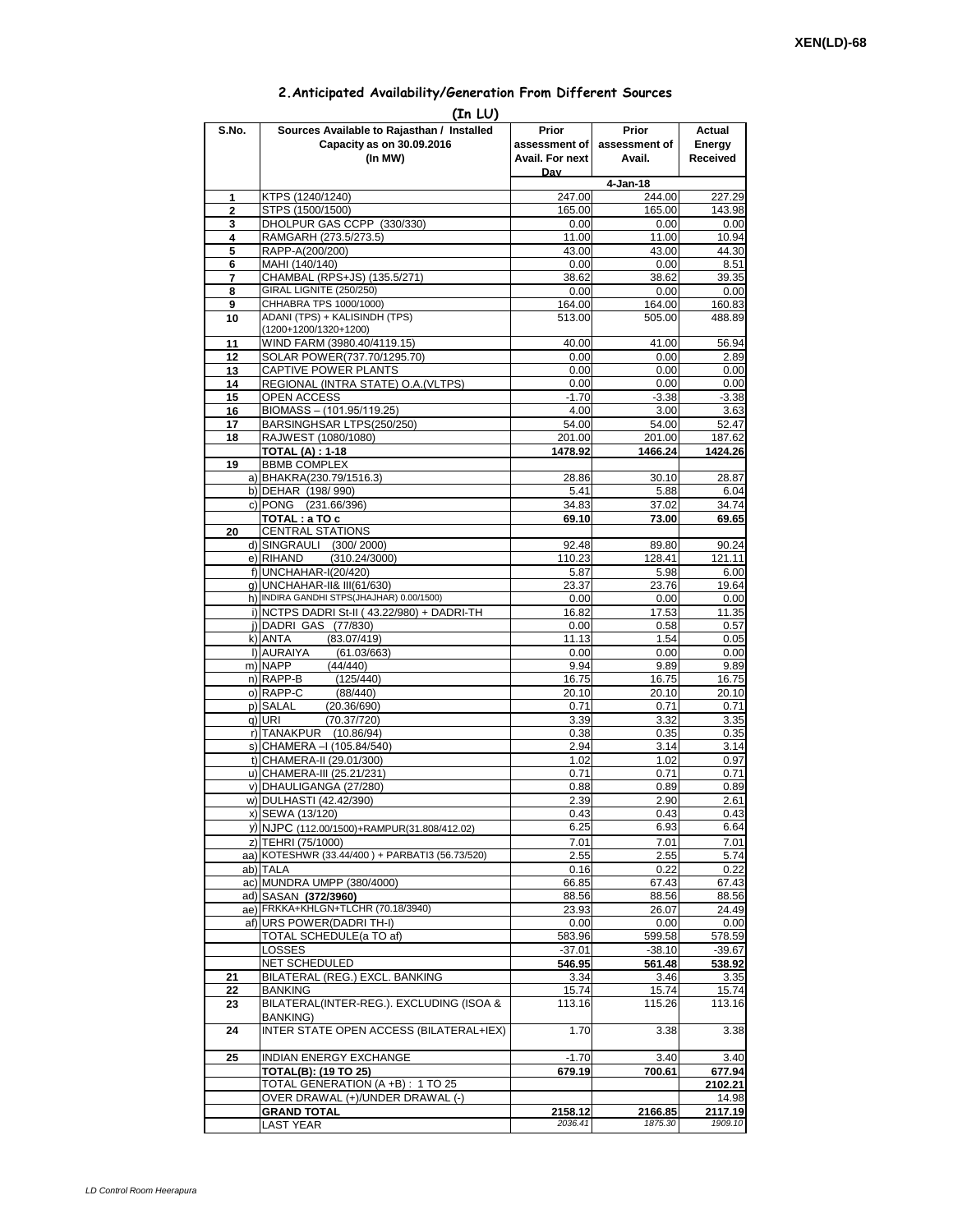## **2.Anticipated Availability/Generation From Different Sources**

| (In LU)        |                                                                                    |                                           |                                  |                              |  |  |  |  |  |
|----------------|------------------------------------------------------------------------------------|-------------------------------------------|----------------------------------|------------------------------|--|--|--|--|--|
| S.No.          | Sources Available to Rajasthan / Installed<br>Capacity as on 30.09.2016<br>(In MW) | Prior<br>assessment of<br>Avail. For next | Prior<br>assessment of<br>Avail. | Actual<br>Energy<br>Received |  |  |  |  |  |
|                |                                                                                    | Dav                                       | 4-Jan-18                         |                              |  |  |  |  |  |
| 1              | KTPS (1240/1240)                                                                   | 247.00                                    | 244.00                           | 227.29                       |  |  |  |  |  |
| $\overline{2}$ | STPS (1500/1500)                                                                   | 165.00                                    | 165.00                           | 143.98                       |  |  |  |  |  |
| 3              | DHOLPUR GAS CCPP (330/330)                                                         | 0.00                                      | 0.00                             | 0.00                         |  |  |  |  |  |
| 4              | RAMGARH (273.5/273.5)                                                              | 11.00                                     | 11.00                            | 10.94                        |  |  |  |  |  |
| 5              | RAPP-A(200/200)                                                                    | 43.00                                     | 43.00                            | 44.30                        |  |  |  |  |  |
| 6<br>7         | MAHI (140/140)<br>CHAMBAL (RPS+JS) (135.5/271)                                     | 0.00<br>38.62                             | 0.00<br>38.62                    | 8.51<br>39.35                |  |  |  |  |  |
| 8              | GIRAL LIGNITE (250/250)                                                            | 0.00                                      | 0.00                             | 0.00                         |  |  |  |  |  |
| 9              | CHHABRA TPS 1000/1000)                                                             | 164.00                                    | 164.00                           | 160.83                       |  |  |  |  |  |
| 10             | ADANI (TPS) + KALISINDH (TPS)<br>(1200+1200/1320+1200)                             | 513.00                                    | 505.00                           | 488.89                       |  |  |  |  |  |
| 11             | WIND FARM (3980.40/4119.15)                                                        | 40.00                                     | 41.00                            | 56.94                        |  |  |  |  |  |
| 12             | SOLAR POWER(737.70/1295.70)                                                        | 0.00                                      | 0.00                             | 2.89                         |  |  |  |  |  |
| 13             | CAPTIVE POWER PLANTS                                                               | 0.00                                      | 0.00                             | 0.00                         |  |  |  |  |  |
| 14             | REGIONAL (INTRA STATE) O.A. (VLTPS)<br>OPEN ACCESS                                 | 0.00                                      | 0.00                             | 0.00                         |  |  |  |  |  |
| 15<br>16       | BIOMASS - (101.95/119.25)                                                          | $-1.70$<br>4.00                           | $-3.38$<br>3.00                  | $-3.38$<br>3.63              |  |  |  |  |  |
| 17             | BARSINGHSAR LTPS(250/250)                                                          | 54.00                                     | 54.00                            | 52.47                        |  |  |  |  |  |
| 18             | RAJWEST (1080/1080)                                                                | 201.00                                    | 201.00                           | 187.62                       |  |  |  |  |  |
|                | <b>TOTAL (A): 1-18</b>                                                             | 1478.92                                   | 1466.24                          | 1424.26                      |  |  |  |  |  |
| 19             | <b>BBMB COMPLEX</b>                                                                |                                           |                                  |                              |  |  |  |  |  |
|                | a) BHAKRA(230.79/1516.3)                                                           | 28.86                                     | 30.10                            | 28.87                        |  |  |  |  |  |
|                | b) DEHAR (198/990)                                                                 | 5.41                                      | 5.88                             | 6.04                         |  |  |  |  |  |
|                | c) PONG (231.66/396)                                                               | 34.83<br>69.10                            | 37.02                            | 34.74                        |  |  |  |  |  |
| 20             | TOTAL : a TO c<br><b>CENTRAL STATIONS</b>                                          |                                           | 73.00                            | 69.65                        |  |  |  |  |  |
|                | d) SINGRAULI (300/2000)                                                            | 92.48                                     | 89.80                            | 90.24                        |  |  |  |  |  |
|                | e) RIHAND<br>(310.24/3000)                                                         | 110.23                                    | 128.41                           | 121.11                       |  |  |  |  |  |
|                | f) UNCHAHAR-I(20/420)                                                              | 5.87                                      | 5.98                             | 6.00                         |  |  |  |  |  |
|                | g) UNCHAHAR-II& III(61/630)                                                        | 23.37                                     | 23.76                            | 19.64                        |  |  |  |  |  |
|                | h) INDIRA GANDHI STPS(JHAJHAR) 0.00/1500)                                          | 0.00                                      | 0.00                             | 0.00                         |  |  |  |  |  |
|                | i) NCTPS DADRI St-II (43.22/980) + DADRI-TH                                        | 16.82                                     | 17.53                            | 11.35                        |  |  |  |  |  |
|                | j) DADRI GAS (77/830)<br>k) ANTA<br>(83.07/419)                                    | 0.00<br>11.13                             | 0.58<br>1.54                     | 0.57<br>0.05                 |  |  |  |  |  |
|                | I) AURAIYA<br>(61.03/663)                                                          | 0.00                                      | 0.00                             | 0.00                         |  |  |  |  |  |
|                | m) NAPP<br>(44/440)                                                                | 9.94                                      | 9.89                             | 9.89                         |  |  |  |  |  |
|                | n) RAPP-B<br>(125/440)                                                             | 16.75                                     | 16.75                            | 16.75                        |  |  |  |  |  |
|                | o) RAPP-C<br>(88/440)                                                              | 20.10                                     | 20.10                            | 20.10                        |  |  |  |  |  |
|                | p) SALAL<br>(20.36/690)                                                            | 0.71                                      | 0.71                             | 0.71                         |  |  |  |  |  |
|                | q) URI<br>(70.37/720)                                                              | 3.39                                      | 3.32                             | 3.35                         |  |  |  |  |  |
|                | r) TANAKPUR (10.86/94)                                                             | 0.38                                      | 0.35                             | 0.35                         |  |  |  |  |  |
|                | s) CHAMERA - (105.84/540)<br>t) CHAMERA-II (29.01/300)                             | 2.94<br>1.02                              | 3.14<br>1.02                     | 3.14<br>0.97                 |  |  |  |  |  |
|                | u) CHAMERA-III (25.21/231)                                                         | 0.71                                      | 0.71                             | 0.71                         |  |  |  |  |  |
|                | v) DHAULIGANGA (27/280)                                                            | 0.88                                      | 0.89                             | 0.89                         |  |  |  |  |  |
|                | w) DULHASTI (42.42/390)                                                            | 2.39                                      | 2.90                             | 2.61                         |  |  |  |  |  |
|                | x) SEWA (13/120)                                                                   | 0.43                                      | 0.43                             | 0.43                         |  |  |  |  |  |
|                | y) NJPC (112.00/1500)+RAMPUR(31.808/412.02)                                        | 6.25                                      | 6.93                             | 6.64                         |  |  |  |  |  |
|                | z) TEHRI (75/1000)                                                                 | 7.01                                      | 7.01                             | 7.01                         |  |  |  |  |  |
|                | aa) KOTESHWR (33.44/400) + PARBATI3 (56.73/520)                                    | 2.55                                      | 2.55                             | 5.74                         |  |  |  |  |  |
|                | ab) TALA                                                                           | 0.16                                      | 0.22                             | 0.22                         |  |  |  |  |  |
|                | ac) MUNDRA UMPP (380/4000)<br>ad) SASAN (372/3960)                                 | 66.85<br>88.56                            | 67.43<br>88.56                   | 67.43<br>88.56               |  |  |  |  |  |
|                | ae) FRKKA+KHLGN+TLCHR (70.18/3940)                                                 | 23.93                                     | 26.07                            | 24.49                        |  |  |  |  |  |
|                | af) URS POWER(DADRITH-I)                                                           | 0.00                                      | 0.00                             | 0.00                         |  |  |  |  |  |
|                | TOTAL SCHEDULE(a TO af)                                                            | 583.96                                    | 599.58                           | 578.59                       |  |  |  |  |  |
|                | <b>LOSSES</b>                                                                      | $-37.01$                                  | $-38.10$                         | $-39.67$                     |  |  |  |  |  |
|                | NET SCHEDULED                                                                      | 546.95                                    | 561.48                           | 538.92                       |  |  |  |  |  |
| 21             | BILATERAL (REG.) EXCL. BANKING                                                     | 3.34                                      | 3.46                             | 3.35                         |  |  |  |  |  |
| 22<br>23       | BANKING<br>BILATERAL(INTER-REG.). EXCLUDING (ISOA &                                | 15.74<br>113.16                           | 15.74<br>115.26                  | 15.74<br>113.16              |  |  |  |  |  |
| 24             | BANKING)<br>INTER STATE OPEN ACCESS (BILATERAL+IEX)                                | 1.70                                      | 3.38                             | 3.38                         |  |  |  |  |  |
| 25             | INDIAN ENERGY EXCHANGE                                                             | $-1.70$                                   | 3.40                             | 3.40                         |  |  |  |  |  |
|                | TOTAL(B): (19 TO 25)                                                               | 679.19                                    | 700.61                           | 677.94                       |  |  |  |  |  |
|                | TOTAL GENERATION (A +B) : 1 TO 25                                                  |                                           |                                  | 2102.21                      |  |  |  |  |  |
|                | OVER DRAWAL (+)/UNDER DRAWAL (-)                                                   |                                           |                                  | 14.98                        |  |  |  |  |  |
|                | <b>GRAND TOTAL</b>                                                                 | 2158.12                                   | 2166.85                          | 2117.19                      |  |  |  |  |  |
|                | <b>LAST YEAR</b>                                                                   | 2036.41                                   | 1875.30                          | 1909.10                      |  |  |  |  |  |